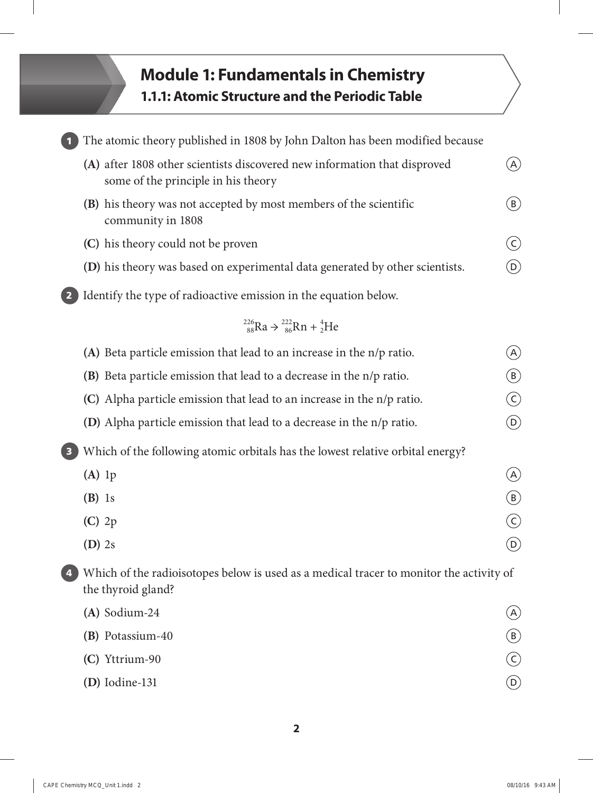## **Module 1: Fundamentals in Chemistry 1.1.1: Atomic Structure and the Periodic Table**

|   | The atomic theory published in 1808 by John Dalton has been modified because                                     |                                            |
|---|------------------------------------------------------------------------------------------------------------------|--------------------------------------------|
|   | (A) after 1808 other scientists discovered new information that disproved<br>some of the principle in his theory | (A)                                        |
|   | <b>(B)</b> his theory was not accepted by most members of the scientific<br>community in 1808                    | $\begin{pmatrix} \mathsf{B} \end{pmatrix}$ |
|   | (C) his theory could not be proven                                                                               | $\zeta$                                    |
|   | (D) his theory was based on experimental data generated by other scientists.                                     | $\left( \mathsf{D}\right)$                 |
|   | Identify the type of radioactive emission in the equation below.                                                 |                                            |
|   | $^{226}_{88}Ra \rightarrow ^{222}_{86}Rn + ^{4}_{2}He$                                                           |                                            |
|   | (A) Beta particle emission that lead to an increase in the n/p ratio.                                            | (A)                                        |
|   | (B) Beta particle emission that lead to a decrease in the n/p ratio.                                             | (B)                                        |
|   | (C) Alpha particle emission that lead to an increase in the n/p ratio.                                           | $(\mathsf{C})$                             |
|   | <b>(D)</b> Alpha particle emission that lead to a decrease in the n/p ratio.                                     | $\left(\mathsf{D}\right)$                  |
|   | Which of the following atomic orbitals has the lowest relative orbital energy?                                   |                                            |
|   | $(A)$ 1p                                                                                                         | (A)                                        |
|   | $(B)$ 1s                                                                                                         | $(\mathtt{B})$                             |
|   | $(C)$ 2p                                                                                                         | $(\mathsf{C})$                             |
|   | $(D)$ 2s                                                                                                         | $\left(  \mathrm{D}\right)$                |
| 4 | Which of the radioisotopes below is used as a medical tracer to monitor the activity of<br>the thyroid gland?    |                                            |
|   | (A) Sodium-24                                                                                                    | $\mathsf{A}$                               |
|   | (B) Potassium-40                                                                                                 | (B)                                        |
|   | (C) Yttrium-90                                                                                                   | $\zeta$                                    |
|   | $(D)$ Iodine-131                                                                                                 | $\left(  \mathrm{D}\right)$                |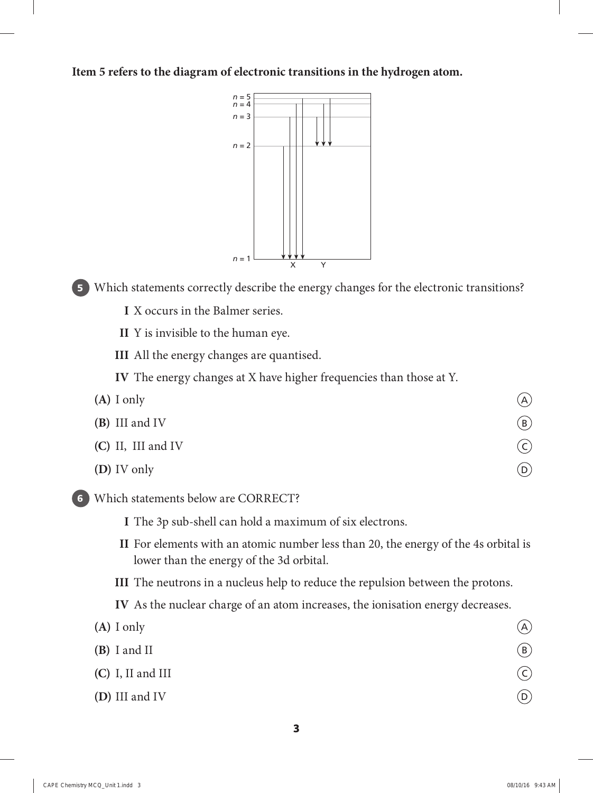**Item 5 refers to the diagram of electronic transitions in the hydrogen atom.**



**5** Which statements correctly describe the energy changes for the electronic transitions?

 **I** X occurs in the Balmer series.

 **II** Y is invisible to the human eye.

 **III** All the energy changes are quantised.

 **IV** The energy changes at X have higher frequencies than those at Y.

- $(A)$  I only  $\qquad \qquad (A)$ **(B)** III and IV **(B)**<br>**(C)** II, III and IV **(B) (C)** II, III and IV **(D)** IV only  $\overline{D}$
- **6** Which statements below are CORRECT?
	- **I** The 3p sub-shell can hold a maximum of six electrons.
	- **II** For elements with an atomic number less than 20, the energy of the 4s orbital is lower than the energy of the 3d orbital.

 **III** The neutrons in a nucleus help to reduce the repulsion between the protons.

 **IV** As the nuclear charge of an atom increases, the ionisation energy decreases.

| $(A)$ I only        | (A)     |
|---------------------|---------|
| $(B)$ I and II      | (B)     |
| $(C)$ I, II and III | $\zeta$ |
| (D) III and IV      | (D)     |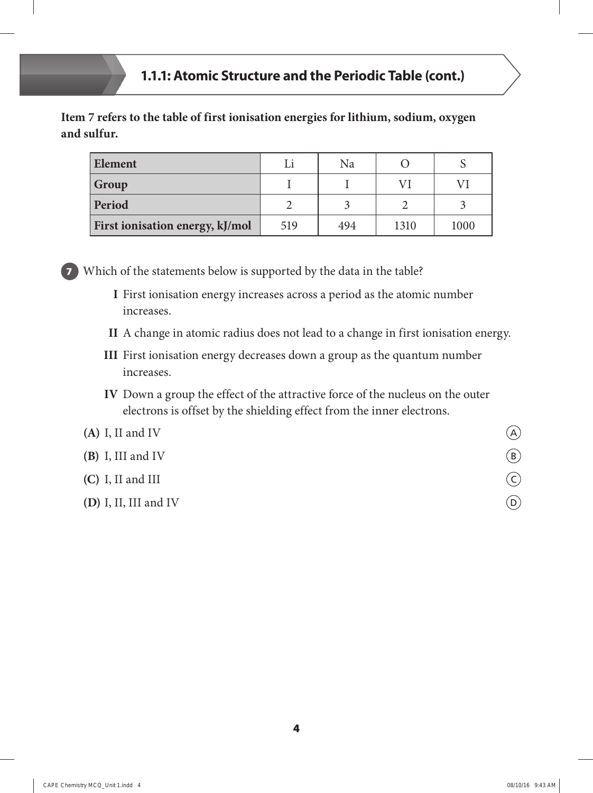**Item 7 refers to the table of first ionisation energies for lithium, sodium, oxygen and sulfur.**

| <b>Element</b>                         | Li  | Na  |      |      |
|----------------------------------------|-----|-----|------|------|
| Group                                  |     |     |      |      |
| <b>Period</b>                          |     |     |      |      |
| <b>First ionisation energy, kJ/mol</b> | 519 | 494 | 1310 | 1000 |



**7** Which of the statements below is supported by the data in the table?

- **I** First ionisation energy increases across a period as the atomic number increases.
- **II** A change in atomic radius does not lead to a change in first ionisation energy.
- **III** First ionisation energy decreases down a group as the quantum number increases.
- **IV** Down a group the effect of the attractive force of the nucleus on the outer electrons is offset by the shielding effect from the inner electrons.

## **(A)** I, II and IV  $\qquad \qquad \textcircled{A}$

- **(B)** I, III and IV **(B)**<br>**(C)** I, II and III **(C)**
- **(C)** I, II and III
- **(D)** I, II, III and IV  $\qquad \qquad \textcircled{1}$